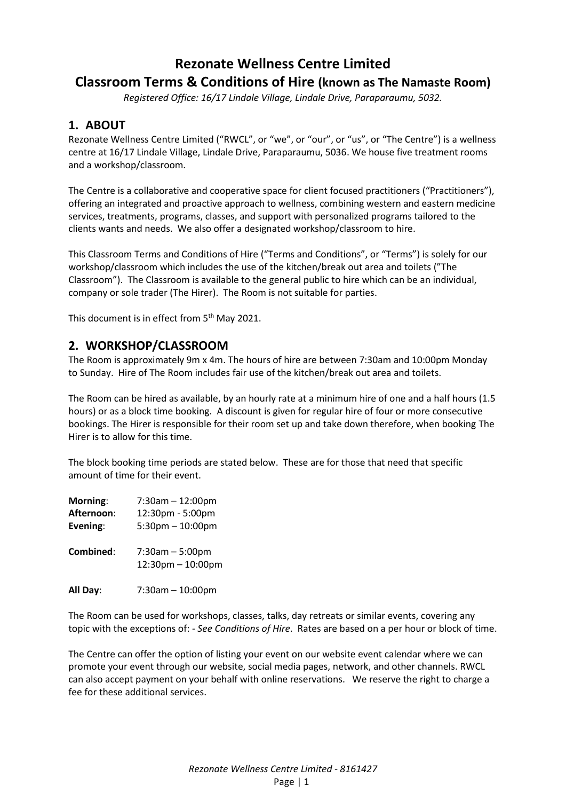# **Rezonate Wellness Centre Limited Classroom Terms & Conditions of Hire (known as The Namaste Room)**

*Registered Office: 16/17 Lindale Village, Lindale Drive, Paraparaumu, 5032.*

### **1. ABOUT**

Rezonate Wellness Centre Limited ("RWCL", or "we", or "our", or "us", or "The Centre") is a wellness centre at 16/17 Lindale Village, Lindale Drive, Paraparaumu, 5036. We house five treatment rooms and a workshop/classroom.

The Centre is a collaborative and cooperative space for client focused practitioners ("Practitioners"), offering an integrated and proactive approach to wellness, combining western and eastern medicine services, treatments, programs, classes, and support with personalized programs tailored to the clients wants and needs. We also offer a designated workshop/classroom to hire.

This Classroom Terms and Conditions of Hire ("Terms and Conditions", or "Terms") is solely for our workshop/classroom which includes the use of the kitchen/break out area and toilets ("The Classroom"). The Classroom is available to the general public to hire which can be an individual, company or sole trader (The Hirer). The Room is not suitable for parties.

This document is in effect from 5<sup>th</sup> May 2021.

#### **2. WORKSHOP/CLASSROOM**

The Room is approximately 9m x 4m. The hours of hire are between 7:30am and 10:00pm Monday to Sunday. Hire of The Room includes fair use of the kitchen/break out area and toilets.

The Room can be hired as available, by an hourly rate at a minimum hire of one and a half hours (1.5 hours) or as a block time booking. A discount is given for regular hire of four or more consecutive bookings. The Hirer is responsible for their room set up and take down therefore, when booking The Hirer is to allow for this time.

The block booking time periods are stated below. These are for those that need that specific amount of time for their event.

| Morning:   | $7:30$ am $-12:00$ pm                        |
|------------|----------------------------------------------|
| Afternoon: | 12:30pm - 5:00pm                             |
| Evening:   | $5:30$ pm $-10:00$ pm                        |
| Combined:  | $7:30am - 5:00pm$<br>$12:30$ pm $- 10:00$ pm |

**All Day**: 7:30am – 10:00pm

The Room can be used for workshops, classes, talks, day retreats or similar events, covering any topic with the exceptions of: - *See Conditions of Hire*. Rates are based on a per hour or block of time.

The Centre can offer the option of listing your event on our website event calendar where we can promote your event through our website, social media pages, network, and other channels. RWCL can also accept payment on your behalf with online reservations. We reserve the right to charge a fee for these additional services.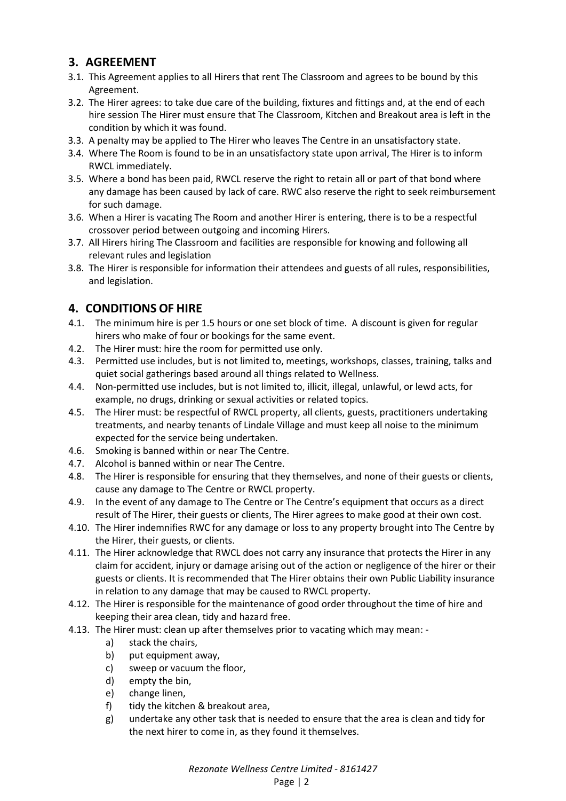## **3. AGREEMENT**

- 3.1. This Agreement applies to all Hirers that rent The Classroom and agrees to be bound by this Agreement.
- 3.2. The Hirer agrees: to take due care of the building, fixtures and fittings and, at the end of each hire session The Hirer must ensure that The Classroom, Kitchen and Breakout area is left in the condition by which it was found.
- 3.3. A penalty may be applied to The Hirer who leaves The Centre in an unsatisfactory state.
- 3.4. Where The Room is found to be in an unsatisfactory state upon arrival, The Hirer is to inform RWCL immediately.
- 3.5. Where a bond has been paid, RWCL reserve the right to retain all or part of that bond where any damage has been caused by lack of care. RWC also reserve the right to seek reimbursement for such damage.
- 3.6. When a Hirer is vacating The Room and another Hirer is entering, there is to be a respectful crossover period between outgoing and incoming Hirers.
- 3.7. All Hirers hiring The Classroom and facilities are responsible for knowing and following all relevant rules and legislation
- 3.8. The Hirer is responsible for information their attendees and guests of all rules, responsibilities, and legislation.

### **4. CONDITIONS OF HIRE**

- 4.1. The minimum hire is per 1.5 hours or one set block of time. A discount is given for regular hirers who make of four or bookings for the same event.
- 4.2. The Hirer must: hire the room for permitted use only.
- 4.3. Permitted use includes, but is not limited to, meetings, workshops, classes, training, talks and quiet social gatherings based around all things related to Wellness.
- 4.4. Non-permitted use includes, but is not limited to, illicit, illegal, unlawful, or lewd acts, for example, no drugs, drinking or sexual activities or related topics.
- 4.5. The Hirer must: be respectful of RWCL property, all clients, guests, practitioners undertaking treatments, and nearby tenants of Lindale Village and must keep all noise to the minimum expected for the service being undertaken.
- 4.6. Smoking is banned within or near The Centre.
- 4.7. Alcohol is banned within or near The Centre.
- 4.8. The Hirer is responsible for ensuring that they themselves, and none of their guests or clients, cause any damage to The Centre or RWCL property.
- 4.9. In the event of any damage to The Centre or The Centre's equipment that occurs as a direct result of The Hirer, their guests or clients, The Hirer agrees to make good at their own cost.
- 4.10. The Hirer indemnifies RWC for any damage or loss to any property brought into The Centre by the Hirer, their guests, or clients.
- 4.11. The Hirer acknowledge that RWCL does not carry any insurance that protects the Hirer in any claim for accident, injury or damage arising out of the action or negligence of the hirer or their guests or clients. It is recommended that The Hirer obtains their own Public Liability insurance in relation to any damage that may be caused to RWCL property.
- 4.12. The Hirer is responsible for the maintenance of good order throughout the time of hire and keeping their area clean, tidy and hazard free.
- 4.13. The Hirer must: clean up after themselves prior to vacating which may mean:
	- a) stack the chairs,
	- b) put equipment away,
	- c) sweep or vacuum the floor,
	- d) empty the bin,
	- e) change linen,
	- f) tidy the kitchen & breakout area,
	- g) undertake any other task that is needed to ensure that the area is clean and tidy for the next hirer to come in, as they found it themselves.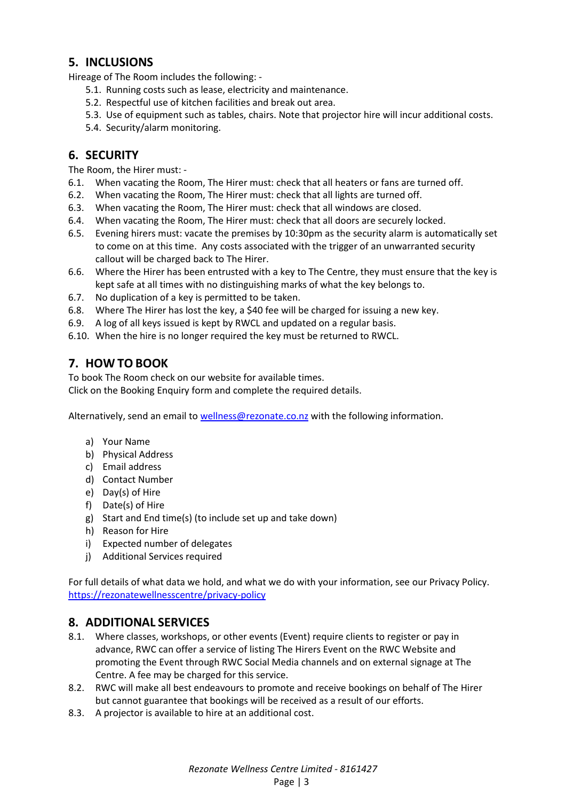### **5. INCLUSIONS**

Hireage of The Room includes the following: -

- 5.1. Running costs such as lease, electricity and maintenance.
- 5.2. Respectful use of kitchen facilities and break out area.
- 5.3. Use of equipment such as tables, chairs. Note that projector hire will incur additional costs.
- 5.4. Security/alarm monitoring.

### **6. SECURITY**

The Room, the Hirer must: -

- 6.1. When vacating the Room, The Hirer must: check that all heaters or fans are turned off.
- 6.2. When vacating the Room, The Hirer must: check that all lights are turned off.
- 6.3. When vacating the Room, The Hirer must: check that all windows are closed.
- 6.4. When vacating the Room, The Hirer must: check that all doors are securely locked.
- 6.5. Evening hirers must: vacate the premises by 10:30pm as the security alarm is automatically set to come on at this time. Any costs associated with the trigger of an unwarranted security callout will be charged back to The Hirer.
- 6.6. Where the Hirer has been entrusted with a key to The Centre, they must ensure that the key is kept safe at all times with no distinguishing marks of what the key belongs to.
- 6.7. No duplication of a key is permitted to be taken.
- 6.8. Where The Hirer has lost the key, a \$40 fee will be charged for issuing a new key.
- 6.9. A log of all keys issued is kept by RWCL and updated on a regular basis.
- 6.10. When the hire is no longer required the key must be returned to RWCL.

## **7. HOW TO BOOK**

To book The Room check on our website for available times.

Click on the Booking Enquiry form and complete the required details.

Alternatively, send an email t[o wellness@rezonate.co.nz](mailto:wellness@rezonate.co.n) with the following information.

- a) Your Name
- b) Physical Address
- c) Email address
- d) Contact Number
- e) Day(s) of Hire
- f) Date(s) of Hire
- g) Start and End time(s) (to include set up and take down)
- h) Reason for Hire
- i) Expected number of delegates
- j) Additional Services required

For full details of what data we hold, and what we do with your information, see our Privacy Policy. <https://rezonatewellnesscentre/privacy-policy>

#### **8. ADDITIONAL SERVICES**

- 8.1. Where classes, workshops, or other events (Event) require clients to register or pay in advance, RWC can offer a service of listing The Hirers Event on the RWC Website and promoting the Event through RWC Social Media channels and on external signage at The Centre. A fee may be charged for this service.
- 8.2. RWC will make all best endeavours to promote and receive bookings on behalf of The Hirer but cannot guarantee that bookings will be received as a result of our efforts.
- 8.3. A projector is available to hire at an additional cost.